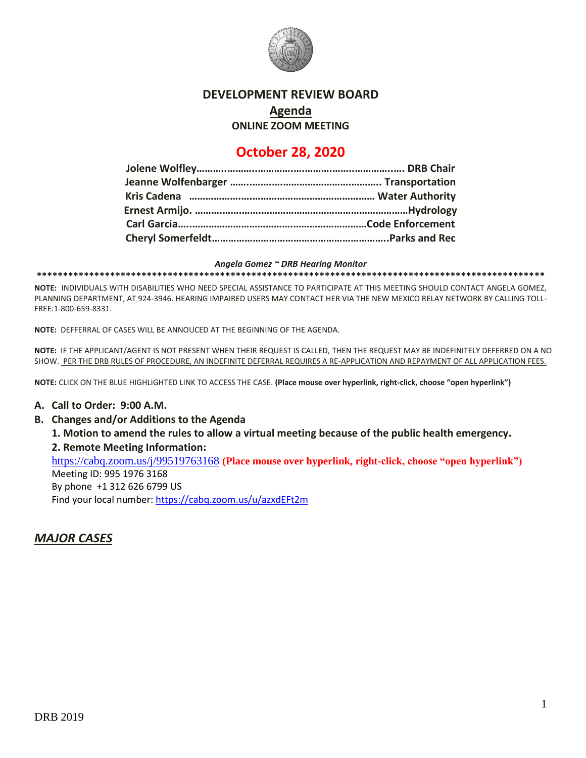

### **DEVELOPMENT REVIEW BOARD**

# **Agenda**

**ONLINE ZOOM MEETING**

# **October 28, 2020**

#### *Angela Gomez ~ DRB Hearing Monitor*

**\*\*\*\*\*\*\*\*\*\*\*\*\*\*\*\*\*\*\*\*\*\*\*\*\*\*\*\*\*\*\*\*\*\*\*\*\*\*\*\*\*\*\*\*\*\*\*\*\*\*\*\*\*\*\*\*\*\*\*\*\*\*\*\*\*\*\*\*\*\*\*\*\*\*\*\*\*\*\*\*\*\*\*\*\*\*\*\*\*\*\*\*\*\*\*\*\***

**NOTE:** INDIVIDUALS WITH DISABILITIES WHO NEED SPECIAL ASSISTANCE TO PARTICIPATE AT THIS MEETING SHOULD CONTACT ANGELA GOMEZ, PLANNING DEPARTMENT, AT 924-3946. HEARING IMPAIRED USERS MAY CONTACT HER VIA THE NEW MEXICO RELAY NETWORK BY CALLING TOLL-FREE:1-800-659-8331.

**NOTE:** DEFFERRAL OF CASES WILL BE ANNOUCED AT THE BEGINNING OF THE AGENDA.

**NOTE:** IF THE APPLICANT/AGENT IS NOT PRESENT WHEN THEIR REQUEST IS CALLED, THEN THE REQUEST MAY BE INDEFINITELY DEFERRED ON A NO SHOW. PER THE DRB RULES OF PROCEDURE, AN INDEFINITE DEFERRAL REQUIRES A RE-APPLICATION AND REPAYMENT OF ALL APPLICATION FEES.

**NOTE:** CLICK ON THE BLUE HIGHLIGHTED LINK TO ACCESS THE CASE. **(Place mouse over hyperlink, right-click, choose "open hyperlink")**

#### **A. Call to Order: 9:00 A.M.**

**B. Changes and/or Additions to the Agenda**

**1. Motion to amend the rules to allow a virtual meeting because of the public health emergency.** 

**2. Remote Meeting Information:**

<https://cabq.zoom.us/j/99519763168> **(Place mouse over hyperlink, right-click, choose "open hyperlink")**

Meeting ID: 995 1976 3168

By phone +1 312 626 6799 US

Find your local number[: https://cabq.zoom.us/u/azxdEFt2m](https://cabq.zoom.us/u/azxdEFt2m)

## *MAJOR CASES*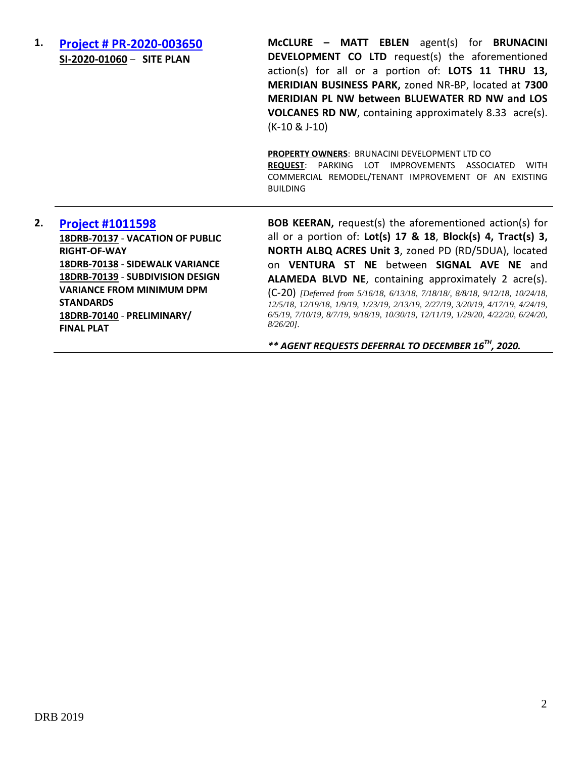**1. [Project # PR-2020-003650](http://data.cabq.gov/government/planning/DRB/PR-2020-003650/DRB%20Submittals/PR-2020-003650_Oct_28_2020/Application/DRB%20Submittal--2020-09-29.pdf) SI-2020-01060** – **SITE PLAN**

**McCLURE – MATT EBLEN** agent(s) for **BRUNACINI DEVELOPMENT CO LTD** request(s) the aforementioned action(s) for all or a portion of: **LOTS 11 THRU 13, MERIDIAN BUSINESS PARK,** zoned NR-BP, located at **7300 MERIDIAN PL NW between BLUEWATER RD NW and LOS VOLCANES RD NW**, containing approximately 8.33 acre(s). (K-10 & J-10)

**PROPERTY OWNERS**: BRUNACINI DEVELOPMENT LTD CO **REQUEST**: PARKING LOT IMPROVEMENTS ASSOCIATED WITH COMMERCIAL REMODEL/TENANT IMPROVEMENT OF AN EXISTING BUILDING

## **2. [Project #1011598](http://data.cabq.gov/government/planning/DRB/1011598/1011598_DRB%20Submittals/) 18DRB-70137** - **VACATION OF PUBLIC RIGHT-OF-WAY 18DRB-70138** - **SIDEWALK VARIANCE 18DRB-70139** - **SUBDIVISION DESIGN VARIANCE FROM MINIMUM DPM STANDARDS 18DRB-70140** - **PRELIMINARY/**

**FINAL PLAT**

**BOB KEERAN,** request(s) the aforementioned action(s) for all or a portion of: **Lot(s) 17 & 18**, **Block(s) 4, Tract(s) 3, NORTH ALBQ ACRES Unit 3**, zoned PD (RD/5DUA), located on **VENTURA ST NE** between **SIGNAL AVE NE** and **ALAMEDA BLVD NE**, containing approximately 2 acre(s).

(C-20) *[Deferred from 5/16/18, 6/13/18, 7/18/18/, 8/8/18, 9/12/18, 10/24/18, 12/5/18, 12/19/18, 1/9/19, 1/23/19, 2/13/19, 2/27/19, 3/20/19, 4/17/19, 4/24/19, 6/5/19, 7/10/19, 8/7/19, 9/18/19, 10/30/19, 12/11/19, 1/29/20, 4/22/20, 6/24/20, 8/26/20].*

*\*\* AGENT REQUESTS DEFERRAL TO DECEMBER 16 TH, 2020.*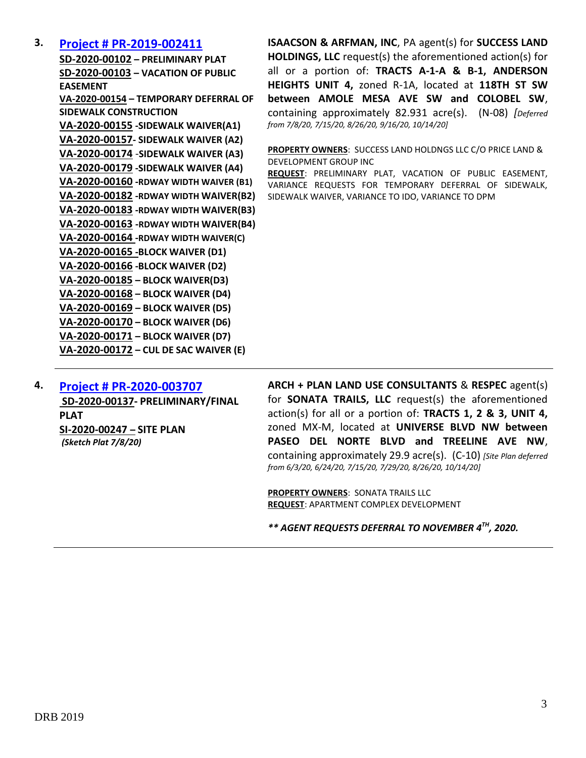## **3. [Project # PR-2019-002411](http://data.cabq.gov/government/planning/DRB/PR-2019-002411/DRB%20Submittals/PR-2019-002411_Sept_16_2020_Supplemental/Application/)**

**SD-2020-00102 – PRELIMINARY PLAT SD-2020-00103 – VACATION OF PUBLIC EASEMENT VA-2020-00154 – TEMPORARY DEFERRAL OF SIDEWALK CONSTRUCTION VA-2020-00155 -SIDEWALK WAIVER(A1) VA-2020-00157- SIDEWALK WAIVER (A2) VA-2020-00174** -**SIDEWALK WAIVER (A3) VA-2020-00179 -SIDEWALK WAIVER (A4) VA-2020-00160 -RDWAY WIDTH WAIVER (B1) VA-2020-00182 -RDWAY WIDTH WAIVER(B2) VA-2020-00183 -RDWAY WIDTH WAIVER(B3) VA-2020-00163 -RDWAY WIDTH WAIVER(B4) VA-2020-00164 -RDWAY WIDTH WAIVER(C) VA-2020-00165 -BLOCK WAIVER (D1) VA-2020-00166 -BLOCK WAIVER (D2) VA-2020-00185 – BLOCK WAIVER(D3) VA-2020-00168 – BLOCK WAIVER (D4) VA-2020-00169 – BLOCK WAIVER (D5) VA-2020-00170 – BLOCK WAIVER (D6) VA-2020-00171 – BLOCK WAIVER (D7) VA-2020-00172 – CUL DE SAC WAIVER (E)**

**ISAACSON & ARFMAN, INC**, PA agent(s) for **SUCCESS LAND HOLDINGS, LLC** request(s) the aforementioned action(s) for all or a portion of: **TRACTS A-1-A & B-1, ANDERSON HEIGHTS UNIT 4,** zoned R-1A, located at **118TH ST SW between AMOLE MESA AVE SW and COLOBEL SW**, containing approximately 82.931 acre(s). (N-08) *[Deferred from 7/8/20, 7/15/20, 8/26/20, 9/16/20, 10/14/20]*

**PROPERTY OWNERS**: SUCCESS LAND HOLDNGS LLC C/O PRICE LAND & DEVELOPMENT GROUP INC

**REQUEST**: PRELIMINARY PLAT, VACATION OF PUBLIC EASEMENT, VARIANCE REQUESTS FOR TEMPORARY DEFERRAL OF SIDEWALK, SIDEWALK WAIVER, VARIANCE TO IDO, VARIANCE TO DPM

**4. [Project # PR-2020-003707](http://data.cabq.gov/government/planning/DRB/PR-2020-003707/DRB%20Submittals/PR-2020-003707_Jul_29_2020_Supp/Application/) SD-2020-00137- PRELIMINARY/FINAL PLAT SI-2020-00247 – SITE PLAN** *(Sketch Plat 7/8/20)* 

**ARCH + PLAN LAND USE CONSULTANTS** & **RESPEC** agent(s) for **SONATA TRAILS, LLC** request(s) the aforementioned action(s) for all or a portion of: **TRACTS 1, 2 & 3, UNIT 4,**  zoned MX-M, located at **UNIVERSE BLVD NW between PASEO DEL NORTE BLVD and TREELINE AVE NW**, containing approximately 29.9 acre(s). (C-10) *[Site Plan deferred from 6/3/20, 6/24/20, 7/15/20, 7/29/20, 8/26/20, 10/14/20]*

**PROPERTY OWNERS**: SONATA TRAILS LLC **REQUEST**: APARTMENT COMPLEX DEVELOPMENT

*\*\* AGENT REQUESTS DEFERRAL TO NOVEMBER 4TH, 2020.*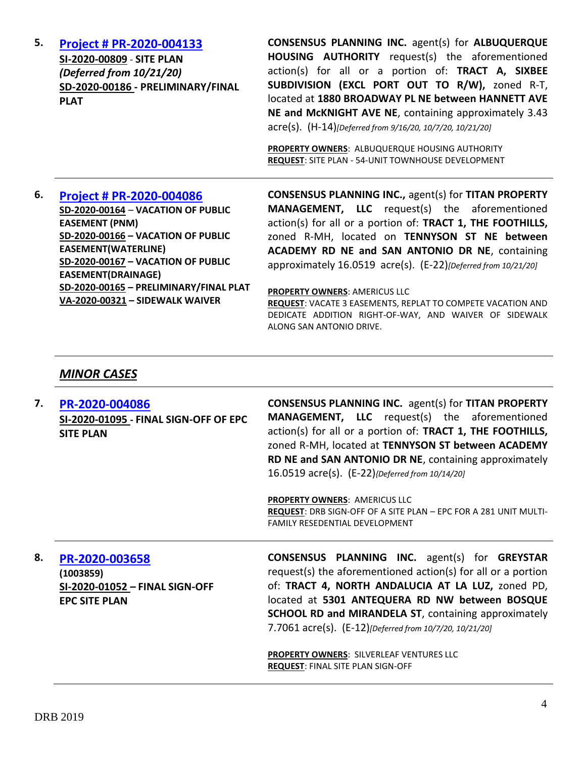| 6. | <b>Project # PR-2020-004086</b>   | <b>CONSENSUS PLANNING INC., agent(s) for TITAN PROPERTY</b>                                                        |
|----|-----------------------------------|--------------------------------------------------------------------------------------------------------------------|
|    |                                   |                                                                                                                    |
|    |                                   | <b>PROPERTY OWNERS: ALBUQUERQUE HOUSING AUTHORITY</b><br><b>REQUEST: SITE PLAN - 54-UNIT TOWNHOUSE DEVELOPMENT</b> |
|    |                                   | NE and McKNIGHT AVE NE, containing approximately 3.43<br>acre(s). (H-14)[Deferred from 9/16/20, 10/7/20, 10/21/20] |
|    | <b>PLAT</b>                       | located at 1880 BROADWAY PL NE between HANNETT AVE                                                                 |
|    | SD-2020-00186 - PRELIMINARY/FINAL | SUBDIVISION (EXCL PORT OUT TO R/W), zoned R-T,                                                                     |
|    | (Deferred from 10/21/20)          | action(s) for all or a portion of: TRACT A, SIXBEE                                                                 |
|    | SI-2020-00809 - SITE PLAN         | HOUSING AUTHORITY request(s) the aforementioned                                                                    |
| 5. | <b>Project # PR-2020-004133</b>   | <b>CONSENSUS PLANNING INC. agent(s) for ALBUQUERQUE</b>                                                            |

**SD-2020-00164** – **VACATION OF PUBLIC EASEMENT (PNM) SD-2020-00166 – VACATION OF PUBLIC EASEMENT(WATERLINE) SD-2020-00167 – VACATION OF PUBLIC EASEMENT(DRAINAGE) SD-2020-00165 – PRELIMINARY/FINAL PLAT VA-2020-00321 – SIDEWALK WAIVER**

S) for TITAN PROPERTY **MANAGEMENT, LLC** request(s) the aforementioned action(s) for all or a portion of: **TRACT 1, THE FOOTHILLS,** zoned R-MH, located on **TENNYSON ST NE between ACADEMY RD NE and SAN ANTONIO DR NE**, containing approximately 16.0519 acre(s). (E-22)*[Deferred from 10/21/20]*

#### **PROPERTY OWNERS**: AMERICUS LLC

**REQUEST**: VACATE 3 EASEMENTS, REPLAT TO COMPETE VACATION AND DEDICATE ADDITION RIGHT-OF-WAY, AND WAIVER OF SIDEWALK ALONG SAN ANTONIO DRIVE.

#### *MINOR CASES*

**7. [PR-2020-004086](http://data.cabq.gov/government/planning/DRB/PR-2020-004086/DRB%20Submittals/PR-2020-004086_Oct_14_2020/Application/) SI-2020-01095 - FINAL SIGN-OFF OF EPC SITE PLAN CONSENSUS PLANNING INC.** agent(s) for **TITAN PROPERTY MANAGEMENT, LLC** request(s) the aforementioned action(s) for all or a portion of: **TRACT 1, THE FOOTHILLS,**  zoned R-MH, located at **TENNYSON ST between ACADEMY RD NE and SAN ANTONIO DR NE**, containing approximately 16.0519 acre(s). (E-22)*{Deferred from 10/14/20]*

> **PROPERTY OWNERS**: AMERICUS LLC **REQUEST**: DRB SIGN-OFF OF A SITE PLAN – EPC FOR A 281 UNIT MULTI-FAMILY RESEDENTIAL DEVELOPMENT

**8. [PR-2020-003658](http://data.cabq.gov/government/planning/DRB/PR-2020-003658/DRB%20Submittals/PR-2020-003658_Oct_7_2020/Application/) (1003859) SI-2020-01052 – FINAL SIGN-OFF EPC SITE PLAN**

**CONSENSUS PLANNING INC.** agent(s) for **GREYSTAR** request(s) the aforementioned action(s) for all or a portion of: **TRACT 4, NORTH ANDALUCIA AT LA LUZ,** zoned PD, located at **5301 ANTEQUERA RD NW between BOSQUE SCHOOL RD and MIRANDELA ST, containing approximately** 7.7061 acre(s). (E-12)*[Deferred from 10/7/20, 10/21/20]*

**PROPERTY OWNERS**: SILVERLEAF VENTURES LLC **REQUEST**: FINAL SITE PLAN SIGN-OFF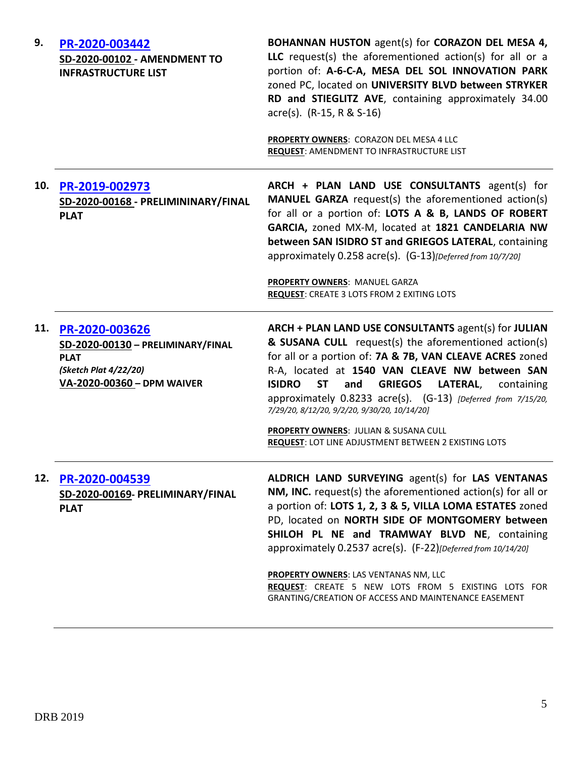| 9.  | PR-2020-003442<br>SD-2020-00102 - AMENDMENT TO<br><b>INFRASTRUCTURE LIST</b>                                                  | <b>BOHANNAN HUSTON</b> agent(s) for <b>CORAZON DEL MESA 4,</b><br>LLC request(s) the aforementioned action(s) for all or a<br>portion of: A-6-C-A, MESA DEL SOL INNOVATION PARK<br>zoned PC, located on UNIVERSITY BLVD between STRYKER<br>RD and STIEGLITZ AVE, containing approximately 34.00<br>$\text{acre}(s)$ . (R-15, R & S-16)<br>PROPERTY OWNERS: CORAZON DEL MESA 4 LLC<br>REQUEST: AMENDMENT TO INFRASTRUCTURE LIST                                                                                                       |
|-----|-------------------------------------------------------------------------------------------------------------------------------|--------------------------------------------------------------------------------------------------------------------------------------------------------------------------------------------------------------------------------------------------------------------------------------------------------------------------------------------------------------------------------------------------------------------------------------------------------------------------------------------------------------------------------------|
| 10. | PR-2019-002973<br>SD-2020-00168 - PRELIMININARY/FINAL<br><b>PLAT</b>                                                          | ARCH + PLAN LAND USE CONSULTANTS agent(s) for<br><b>MANUEL GARZA</b> request(s) the aforementioned action(s)<br>for all or a portion of: LOTS A & B, LANDS OF ROBERT<br>GARCIA, zoned MX-M, located at 1821 CANDELARIA NW<br>between SAN ISIDRO ST and GRIEGOS LATERAL, containing<br>approximately 0.258 acre(s). (G-13)[Deferred from 10/7/20]<br>PROPERTY OWNERS: MANUEL GARZA<br>REQUEST: CREATE 3 LOTS FROM 2 EXITING LOTS                                                                                                      |
|     | 11. PR-2020-003626<br>SD-2020-00130 - PRELIMINARY/FINAL<br><b>PLAT</b><br>(Sketch Plat 4/22/20)<br>VA-2020-00360 - DPM WAIVER | ARCH + PLAN LAND USE CONSULTANTS agent(s) for JULIAN<br>& SUSANA CULL request(s) the aforementioned action(s)<br>for all or a portion of: 7A & 7B, VAN CLEAVE ACRES zoned<br>R-A, located at 1540 VAN CLEAVE NW between SAN<br><b>ISIDRO</b><br><b>ST</b><br><b>GRIEGOS</b><br>and<br>LATERAL,<br>containing<br>approximately 0.8233 acre(s). (G-13) [Deferred from 7/15/20,<br>7/29/20, 8/12/20, 9/2/20, 9/30/20, 10/14/20]<br>PROPERTY OWNERS: JULIAN & SUSANA CULL<br><b>REQUEST: LOT LINE ADJUSTMENT BETWEEN 2 EXISTING LOTS</b> |
| 12. | PR-2020-004539<br>SD-2020-00169- PRELIMINARY/FINAL<br><b>PLAT</b>                                                             | ALDRICH LAND SURVEYING agent(s) for LAS VENTANAS<br>NM, INC. request(s) the aforementioned action(s) for all or<br>a portion of: LOTS 1, 2, 3 & 5, VILLA LOMA ESTATES zoned<br>PD, located on NORTH SIDE OF MONTGOMERY between<br>SHILOH PL NE and TRAMWAY BLVD NE, containing<br>approximately 0.2537 acre(s). (F-22) [Deferred from 10/14/20]<br><b>PROPERTY OWNERS: LAS VENTANAS NM, LLC</b><br>REQUEST: CREATE 5 NEW LOTS FROM 5 EXISTING LOTS FOR<br>GRANTING/CREATION OF ACCESS AND MAINTENANCE EASEMENT                       |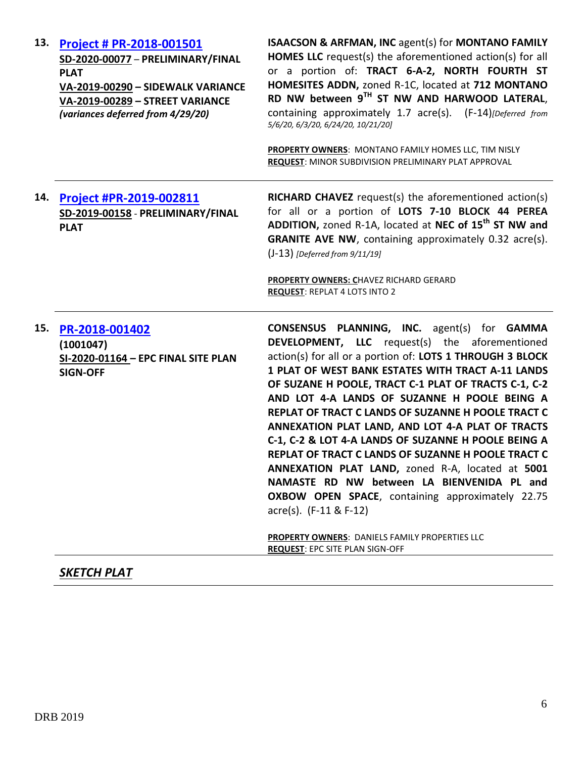| 13. | <b>Project # PR-2018-001501</b><br>SD-2020-00077 - PRELIMINARY/FINAL<br><b>PLAT</b><br>VA-2019-00290 - SIDEWALK VARIANCE<br>VA-2019-00289 - STREET VARIANCE<br>(variances deferred from 4/29/20) | <b>ISAACSON &amp; ARFMAN, INC agent(s) for MONTANO FAMILY</b><br><b>HOMES LLC</b> request(s) the aforementioned action(s) for all<br>or a portion of: TRACT 6-A-2, NORTH FOURTH ST<br>HOMESITES ADDN, zoned R-1C, located at 712 MONTANO<br>RD NW between 9TH ST NW AND HARWOOD LATERAL,<br>containing approximately 1.7 acre(s). (F-14)[Deferred from<br>5/6/20, 6/3/20, 6/24/20, 10/21/20]<br>PROPERTY OWNERS: MONTANO FAMILY HOMES LLC, TIM NISLY<br><b>REQUEST: MINOR SUBDIVISION PRELIMINARY PLAT APPROVAL</b>                                                                                                                                                                                                                                                                                                                                  |
|-----|--------------------------------------------------------------------------------------------------------------------------------------------------------------------------------------------------|------------------------------------------------------------------------------------------------------------------------------------------------------------------------------------------------------------------------------------------------------------------------------------------------------------------------------------------------------------------------------------------------------------------------------------------------------------------------------------------------------------------------------------------------------------------------------------------------------------------------------------------------------------------------------------------------------------------------------------------------------------------------------------------------------------------------------------------------------|
| 14. | <b>Project #PR-2019-002811</b><br>SD-2019-00158 - PRELIMINARY/FINAL<br><b>PLAT</b>                                                                                                               | <b>RICHARD CHAVEZ</b> request(s) the aforementioned action(s)<br>for all or a portion of LOTS 7-10 BLOCK 44 PEREA<br>ADDITION, zoned R-1A, located at NEC of 15 <sup>th</sup> ST NW and<br><b>GRANITE AVE NW, containing approximately 0.32 acre(s).</b><br>$(J-13)$ [Deferred from $9/11/19$ ]<br><b>PROPERTY OWNERS: CHAVEZ RICHARD GERARD</b><br><b>REQUEST: REPLAT 4 LOTS INTO 2</b>                                                                                                                                                                                                                                                                                                                                                                                                                                                             |
| 15. | PR-2018-001402<br>(1001047)<br>SI-2020-01164 - EPC FINAL SITE PLAN<br><b>SIGN-OFF</b>                                                                                                            | <b>CONSENSUS PLANNING, INC.</b> agent(s) for <b>GAMMA</b><br><b>DEVELOPMENT, LLC</b> request(s) the aforementioned<br>action(s) for all or a portion of: LOTS 1 THROUGH 3 BLOCK<br>1 PLAT OF WEST BANK ESTATES WITH TRACT A-11 LANDS<br>OF SUZANE H POOLE, TRACT C-1 PLAT OF TRACTS C-1, C-2<br>AND LOT 4-A LANDS OF SUZANNE H POOLE BEING A<br>REPLAT OF TRACT C LANDS OF SUZANNE H POOLE TRACT C<br>ANNEXATION PLAT LAND, AND LOT 4-A PLAT OF TRACTS<br>C-1, C-2 & LOT 4-A LANDS OF SUZANNE H POOLE BEING A<br>REPLAT OF TRACT C LANDS OF SUZANNE H POOLE TRACT C<br>ANNEXATION PLAT LAND, zoned R-A, located at 5001<br>NAMASTE RD NW between LA BIENVENIDA PL and<br>OXBOW OPEN SPACE, containing approximately 22.75<br>$\arccos 0$ . (F-11 & F-12)<br>PROPERTY OWNERS: DANIELS FAMILY PROPERTIES LLC<br><b>REQUEST: EPC SITE PLAN SIGN-OFF</b> |

# *SKETCH PLAT*